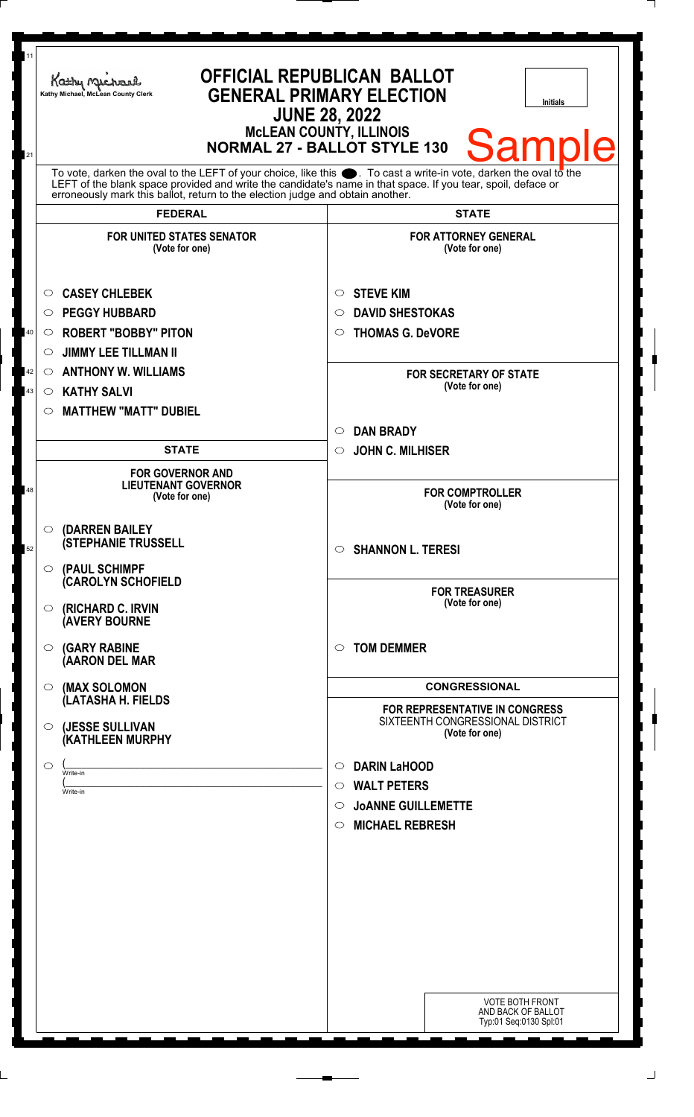| 11             | Kathy Michael<br>Kathy Michael, McLean County Clerk                                                                                                                                                                                                                                                                          | <b>OFFICIAL REPUBLICAN BALLOT</b><br><b>GENERAL PRIMARY ELECTION</b><br><b>Initials</b><br><b>JUNE 28, 2022</b><br><b>McLEAN COUNTY, ILLINOIS</b><br><b>Sample</b><br><b>NORMAL 27 - BALLOT STYLE 130</b> |
|----------------|------------------------------------------------------------------------------------------------------------------------------------------------------------------------------------------------------------------------------------------------------------------------------------------------------------------------------|-----------------------------------------------------------------------------------------------------------------------------------------------------------------------------------------------------------|
| 21             | To vote, darken the oval to the LEFT of your choice, like this $\bullet$ . To cast a write-in vote, darken the oval to the<br>LEFT of the blank space provided and write the candidate's name in that space. If you tear, spoil, deface or<br>erroneously mark this ballot, return to the election judge and obtain another. |                                                                                                                                                                                                           |
|                | <b>FEDERAL</b>                                                                                                                                                                                                                                                                                                               | <b>STATE</b>                                                                                                                                                                                              |
|                | <b>FOR UNITED STATES SENATOR</b><br>(Vote for one)                                                                                                                                                                                                                                                                           | <b>FOR ATTORNEY GENERAL</b><br>(Vote for one)                                                                                                                                                             |
| 40<br>42<br>43 | <b>CASEY CHLEBEK</b><br>$\circ$<br><b>PEGGY HUBBARD</b><br>O<br><b>ROBERT "BOBBY" PITON</b><br>O<br><b>JIMMY LEE TILLMAN II</b><br>O<br><b>ANTHONY W. WILLIAMS</b><br>$\circ$<br><b>KATHY SALVI</b><br>$\circ$<br><b>MATTHEW "MATT" DUBIEL</b><br>$\circ$                                                                    | <b>STEVE KIM</b><br>$\circ$<br><b>DAVID SHESTOKAS</b><br>◯<br><b>THOMAS G. DeVORE</b><br>O<br><b>FOR SECRETARY OF STATE</b><br>(Vote for one)                                                             |
|                | <b>STATE</b>                                                                                                                                                                                                                                                                                                                 | <b>DAN BRADY</b><br>$\circ$<br>$\circ$                                                                                                                                                                    |
| 48             | <b>FOR GOVERNOR AND</b><br><b>LIEUTENANT GOVERNOR</b><br>(Vote for one)                                                                                                                                                                                                                                                      | <b>JOHN C. MILHISER</b><br><b>FOR COMPTROLLER</b><br>(Vote for one)                                                                                                                                       |
| 52             | O (DARREN BAILEY<br><b>(STEPHANIE TRUSSELL</b><br>$\circ$ (PAUL SCHIMPF                                                                                                                                                                                                                                                      | <b>SHANNON L. TERESI</b><br>$\circ$                                                                                                                                                                       |
|                | <b>(CAROLYN SCHOFIELD</b><br>(RICHARD C. IRVIN<br>$\circ$<br><b>(AVERY BOURNE</b>                                                                                                                                                                                                                                            | <b>FOR TREASURER</b><br>(Vote for one)                                                                                                                                                                    |
|                | $\circ$ (GARY RABINE<br>(AARON DEL MAR                                                                                                                                                                                                                                                                                       | <b>TOM DEMMER</b><br>◯                                                                                                                                                                                    |
|                | (MAX SOLOMON<br>$\circ$                                                                                                                                                                                                                                                                                                      | <b>CONGRESSIONAL</b>                                                                                                                                                                                      |
|                | (LATASHA H. FIELDS<br>(JESSE SULLIVAN<br>$\circ$<br>(KATHLEEN MURPHY                                                                                                                                                                                                                                                         | <b>FOR REPRESENTATIVE IN CONGRESS</b><br>SIXTEENTH CONGRESSIONAL DISTRICT<br>(Vote for one)                                                                                                               |
|                | $\circ$<br>Write-in<br>Write-in                                                                                                                                                                                                                                                                                              | <b>DARIN LaHOOD</b><br>$\circ$<br><b>WALT PETERS</b><br>$\circ$<br><b>JOANNE GUILLEMETTE</b><br>$\circ$<br><b>MICHAEL REBRESH</b><br>$\circ$                                                              |
|                |                                                                                                                                                                                                                                                                                                                              | <b>VOTE BOTH FRONT</b><br>AND BACK OF BALLOT<br>Typ:01 Seq:0130 Spl:01                                                                                                                                    |